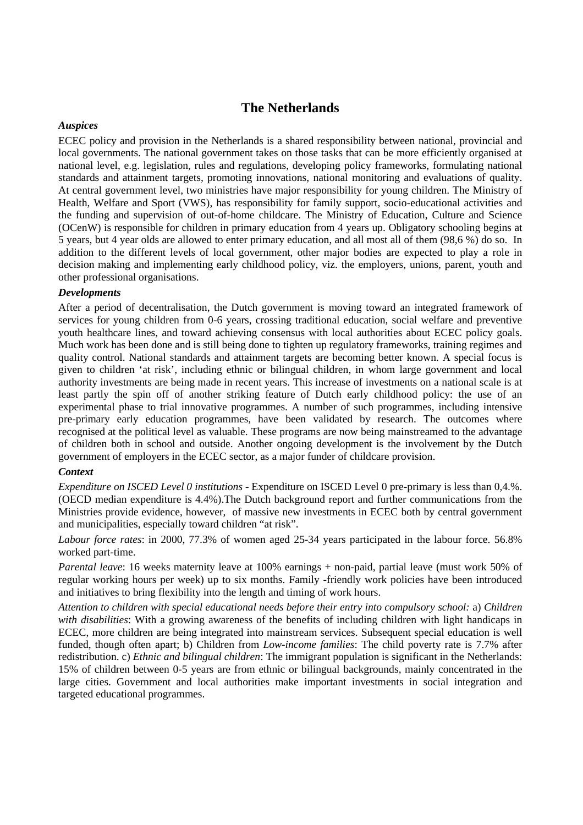# **The Netherlands**

## *Auspices*

ECEC policy and provision in the Netherlands is a shared responsibility between national, provincial and local governments. The national government takes on those tasks that can be more efficiently organised at national level, e.g. legislation, rules and regulations, developing policy frameworks, formulating national standards and attainment targets, promoting innovations, national monitoring and evaluations of quality. At central government level, two ministries have major responsibility for young children. The Ministry of Health, Welfare and Sport (VWS), has responsibility for family support, socio-educational activities and the funding and supervision of out-of-home childcare. The Ministry of Education, Culture and Science (OCenW) is responsible for children in primary education from 4 years up. Obligatory schooling begins at 5 years, but 4 year olds are allowed to enter primary education, and all most all of them (98,6 %) do so. In addition to the different levels of local government, other major bodies are expected to play a role in decision making and implementing early childhood policy, viz. the employers, unions, parent, youth and other professional organisations.

# *Developments*

After a period of decentralisation, the Dutch government is moving toward an integrated framework of services for young children from 0-6 years, crossing traditional education, social welfare and preventive youth healthcare lines, and toward achieving consensus with local authorities about ECEC policy goals. Much work has been done and is still being done to tighten up regulatory frameworks, training regimes and quality control. National standards and attainment targets are becoming better known. A special focus is given to children 'at risk', including ethnic or bilingual children, in whom large government and local authority investments are being made in recent years. This increase of investments on a national scale is at least partly the spin off of another striking feature of Dutch early childhood policy: the use of an experimental phase to trial innovative programmes. A number of such programmes, including intensive pre-primary early education programmes, have been validated by research. The outcomes where recognised at the political level as valuable. These programs are now being mainstreamed to the advantage of children both in school and outside. Another ongoing development is the involvement by the Dutch government of employers in the ECEC sector, as a major funder of childcare provision.

#### *Context*

*Expenditure on ISCED Level 0 institutions* - Expenditure on ISCED Level 0 pre-primary is less than 0,4.%. (OECD median expenditure is 4.4%).The Dutch background report and further communications from the Ministries provide evidence, however, of massive new investments in ECEC both by central government and municipalities, especially toward children "at risk".

*Labour force rates*: in 2000, 77.3% of women aged 25-34 years participated in the labour force. 56.8% worked part-time.

*Parental leave*: 16 weeks maternity leave at 100% earnings + non-paid, partial leave (must work 50% of regular working hours per week) up to six months. Family -friendly work policies have been introduced and initiatives to bring flexibility into the length and timing of work hours.

*Attention to children with special educational needs before their entry into compulsory school:* a) *Children with disabilities*: With a growing awareness of the benefits of including children with light handicaps in ECEC, more children are being integrated into mainstream services. Subsequent special education is well funded, though often apart; b) Children from *Low-income families*: The child poverty rate is 7.7% after redistribution. c) *Ethnic and bilingual children*: The immigrant population is significant in the Netherlands: 15% of children between 0-5 years are from ethnic or bilingual backgrounds, mainly concentrated in the large cities. Government and local authorities make important investments in social integration and targeted educational programmes.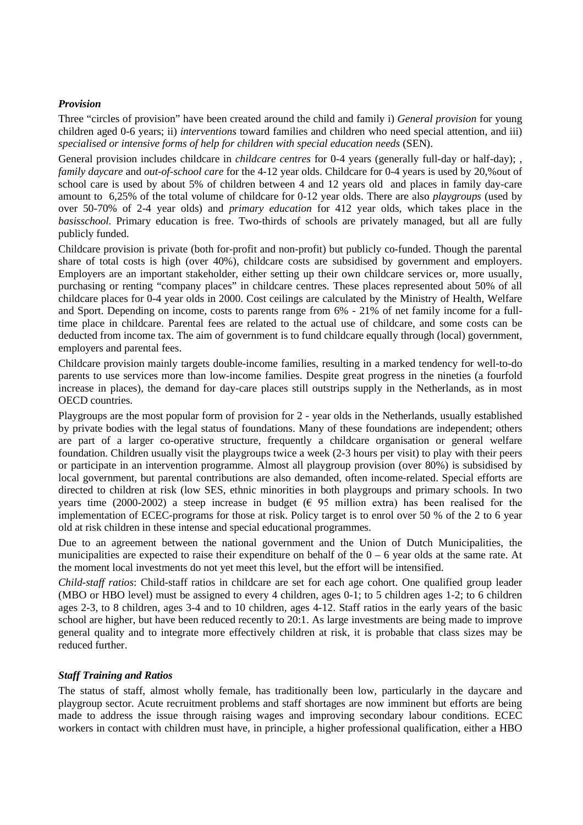## *Provision*

Three "circles of provision" have been created around the child and family i) *General provision* for young children aged 0-6 years; ii) *interventions* toward families and children who need special attention, and iii) *specialised or intensive forms of help for children with special education needs* (SEN).

General provision includes childcare in *childcare centres* for 0-4 years (generally full-day or half-day); *family daycare* and *out-of-school care* for the 4-12 year olds. Childcare for 0-4 years is used by 20,%out of school care is used by about 5% of children between 4 and 12 years old and places in family day-care amount to 6,25% of the total volume of childcare for 0-12 year olds. There are also *playgroups* (used by over 50-70% of 2-4 year olds) and *primary education* for 412 year olds, which takes place in the *basisschool.* Primary education is free. Two-thirds of schools are privately managed, but all are fully publicly funded.

Childcare provision is private (both for-profit and non-profit) but publicly co-funded. Though the parental share of total costs is high (over 40%), childcare costs are subsidised by government and employers. Employers are an important stakeholder, either setting up their own childcare services or, more usually, purchasing or renting "company places" in childcare centres. These places represented about 50% of all childcare places for 0-4 year olds in 2000. Cost ceilings are calculated by the Ministry of Health, Welfare and Sport. Depending on income, costs to parents range from 6% - 21% of net family income for a fulltime place in childcare. Parental fees are related to the actual use of childcare, and some costs can be deducted from income tax. The aim of government is to fund childcare equally through (local) government, employers and parental fees.

Childcare provision mainly targets double-income families, resulting in a marked tendency for well-to-do parents to use services more than low-income families. Despite great progress in the nineties (a fourfold increase in places), the demand for day-care places still outstrips supply in the Netherlands, as in most OECD countries.

Playgroups are the most popular form of provision for 2 - year olds in the Netherlands, usually established by private bodies with the legal status of foundations. Many of these foundations are independent; others are part of a larger co-operative structure, frequently a childcare organisation or general welfare foundation. Children usually visit the playgroups twice a week (2-3 hours per visit) to play with their peers or participate in an intervention programme. Almost all playgroup provision (over 80%) is subsidised by local government, but parental contributions are also demanded, often income-related. Special efforts are directed to children at risk (low SES, ethnic minorities in both playgroups and primary schools. In two years time (2000-2002) a steep increase in budget ( $\epsilon$  95 million extra) has been realised for the implementation of ECEC-programs for those at risk. Policy target is to enrol over 50 % of the 2 to 6 year old at risk children in these intense and special educational programmes.

Due to an agreement between the national government and the Union of Dutch Municipalities, the municipalities are expected to raise their expenditure on behalf of the  $0 - 6$  year olds at the same rate. At the moment local investments do not yet meet this level, but the effort will be intensified.

*Child-staff ratios*: Child-staff ratios in childcare are set for each age cohort. One qualified group leader (MBO or HBO level) must be assigned to every 4 children, ages 0-1; to 5 children ages 1-2; to 6 children ages 2-3, to 8 children, ages 3-4 and to 10 children, ages 4-12. Staff ratios in the early years of the basic school are higher, but have been reduced recently to 20:1. As large investments are being made to improve general quality and to integrate more effectively children at risk, it is probable that class sizes may be reduced further.

#### *Staff Training and Ratios*

The status of staff, almost wholly female, has traditionally been low, particularly in the daycare and playgroup sector. Acute recruitment problems and staff shortages are now imminent but efforts are being made to address the issue through raising wages and improving secondary labour conditions. ECEC workers in contact with children must have, in principle, a higher professional qualification, either a HBO